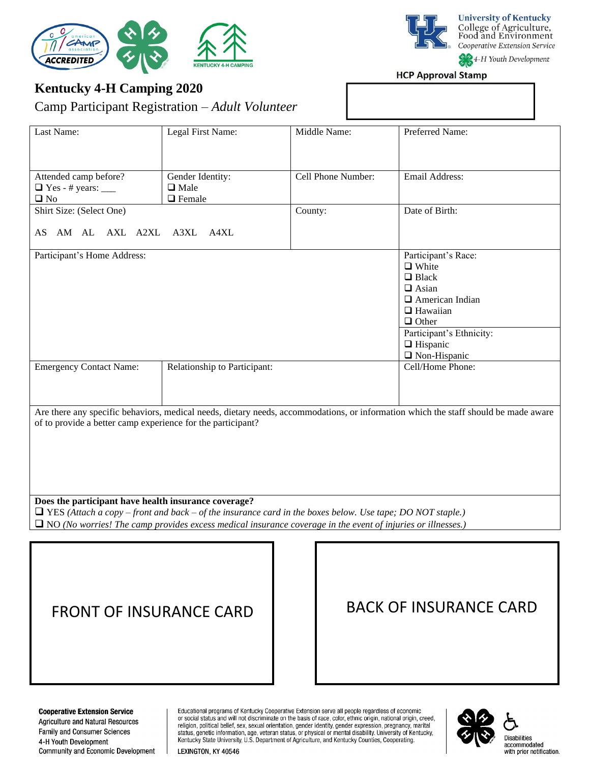

**University of Kentucky** College of Agriculture,<br>Food and Environment Cooperative Extension Service

4-H Youth Development

**HCP Approval Stamp** 

# **Kentucky 4-H Camping 2020**

Camp Participant Registration – *Adult Volunteer*

| Last Name:                                                                                                                                                                                                                                                                                     | Legal First Name:                                | Middle Name:       | Preferred Name:                                                                                                                                                                                        |
|------------------------------------------------------------------------------------------------------------------------------------------------------------------------------------------------------------------------------------------------------------------------------------------------|--------------------------------------------------|--------------------|--------------------------------------------------------------------------------------------------------------------------------------------------------------------------------------------------------|
| Attended camp before?<br>$\Box$ Yes - # years: $\_\_$<br>$\square$ No                                                                                                                                                                                                                          | Gender Identity:<br>$\Box$ Male<br>$\Box$ Female | Cell Phone Number: | Email Address:                                                                                                                                                                                         |
| Shirt Size: (Select One)<br>AS AM AL AXL A2XL A3XL A4XL                                                                                                                                                                                                                                        |                                                  | County:            | Date of Birth:                                                                                                                                                                                         |
| Participant's Home Address:                                                                                                                                                                                                                                                                    |                                                  |                    | Participant's Race:<br>$\Box$ White<br>$\Box$ Black<br>$\Box$ Asian<br>$\Box$ American Indian<br>$\Box$ Hawaiian<br>$\Box$ Other<br>Participant's Ethnicity:<br>$\Box$ Hispanic<br>$\Box$ Non-Hispanic |
| <b>Emergency Contact Name:</b>                                                                                                                                                                                                                                                                 | Relationship to Participant:                     |                    | Cell/Home Phone:                                                                                                                                                                                       |
| Are there any specific behaviors, medical needs, dietary needs, accommodations, or information which the staff should be made aware<br>of to provide a better camp experience for the participant?                                                                                             |                                                  |                    |                                                                                                                                                                                                        |
| Does the participant have health insurance coverage?<br>$\Box$ YES (Attach a copy – front and back – of the insurance card in the boxes below. Use tape; DO NOT staple.)<br>$\Box$ NO (No worries! The camp provides excess medical insurance coverage in the event of injuries or illnesses.) |                                                  |                    |                                                                                                                                                                                                        |
|                                                                                                                                                                                                                                                                                                |                                                  |                    |                                                                                                                                                                                                        |

FRONT OF INSURANCE CARD | BACK OF INSURANCE CARD

#### **Cooperative Extension Service** Agriculture and Natural Resources

Family and Consumer Sciences 4-H Youth Development Community and Economic Development Educational programs of Kentucky Cooperative Extension serve all people regardless of economic<br>or social status and will not discriminate on the basis of race, color, ethnic origin, national origin, creed, religion, political belief, sex, sexual orientation, gender identity, gender expression, pregnancy, marital is due, genetic information, age, veteran status, or physical or mental disability. University of Kentucky,<br>Kentucky State University, U.S. Department of Agriculture, and Kentucky Counties, Cooperating.



Disabilities accommodated with prior notification.

LEXINGTON, KY 40546